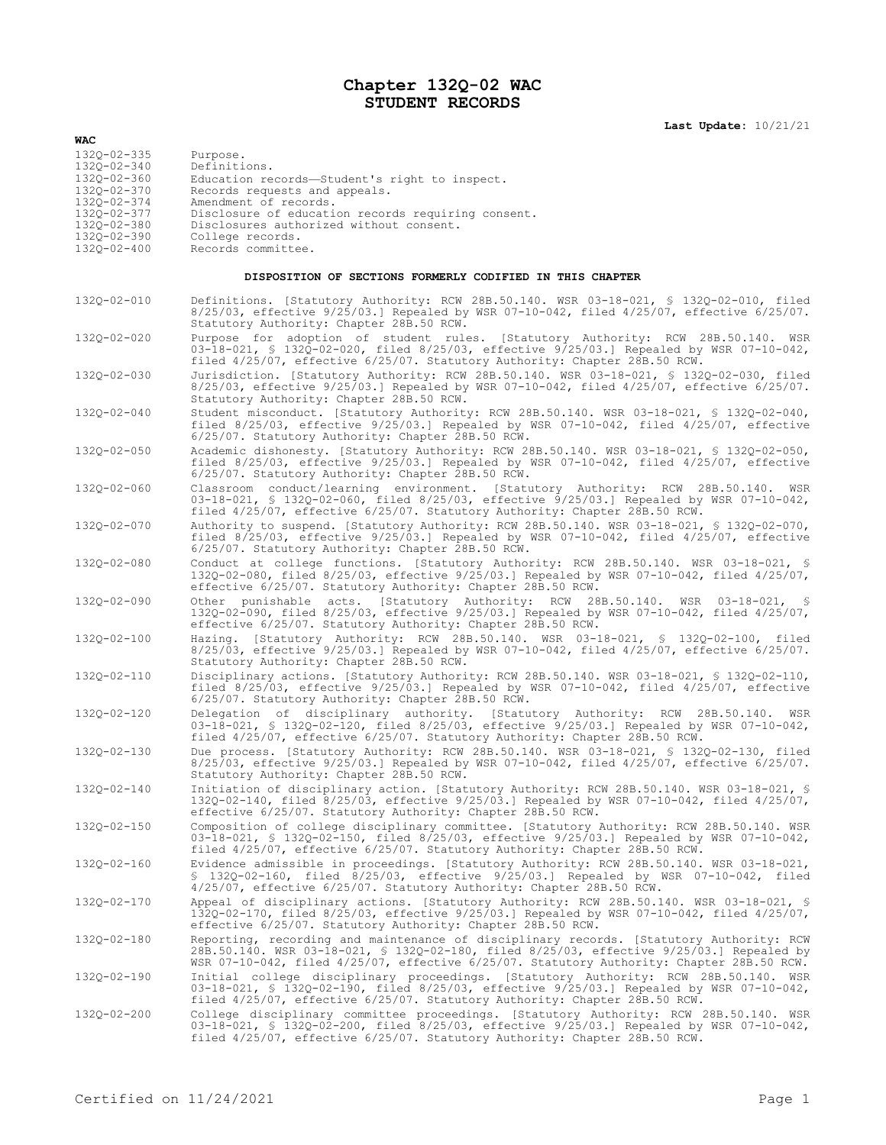## **Chapter 132Q-02 WAC STUDENT RECORDS**

**Last Update:** 10/21/21

| <b>WAC</b>                                                |                                                                                                                                                                                                                                                                                  |
|-----------------------------------------------------------|----------------------------------------------------------------------------------------------------------------------------------------------------------------------------------------------------------------------------------------------------------------------------------|
| 1320-02-335<br>132Q-02-340                                | Purpose.<br>Definitions.                                                                                                                                                                                                                                                         |
| 132Q-02-360<br>1320-02-370                                | Education records-Student's right to inspect.<br>Records requests and appeals.                                                                                                                                                                                                   |
| 132Q-02-374<br>132Q-02-377                                | Amendment of records.<br>Disclosure of education records requiring consent.                                                                                                                                                                                                      |
| 132Q-02-380                                               | Disclosures authorized without consent.                                                                                                                                                                                                                                          |
| 132Q-02-390<br>1320-02-400                                | College records.<br>Records committee.                                                                                                                                                                                                                                           |
| DISPOSITION OF SECTIONS FORMERLY CODIFIED IN THIS CHAPTER |                                                                                                                                                                                                                                                                                  |
| 132Q-02-010                                               | Definitions. [Statutory Authority: RCW 28B.50.140. WSR 03-18-021, § 132Q-02-010, filed<br>$8/25/03$ , effective $9/25/03$ .] Repealed by WSR 07-10-042, filed $4/25/07$ , effective $6/25/07$ .<br>Statutory Authority: Chapter 28B.50 RCW.                                      |
| 1320-02-020                                               | Purpose for adoption of student rules. [Statutory Authority: RCW 28B.50.140. WSR<br>03-18-021, \$ 1320-02-020, filed 8/25/03, effective 9/25/03.] Repealed by WSR 07-10-042,<br>filed 4/25/07, effective 6/25/07. Statutory Authority: Chapter 28B.50 RCW.                       |
| 132Q-02-030                                               | Jurisdiction. [Statutory Authority: RCW 28B.50.140. WSR 03-18-021, § 132Q-02-030, filed<br>8/25/03, effective 9/25/03.] Repealed by WSR 07-10-042, filed 4/25/07, effective 6/25/07.<br>Statutory Authority: Chapter 28B.50 RCW.                                                 |
| 132Q-02-040                                               | Student misconduct. [Statutory Authority: RCW 28B.50.140. WSR 03-18-021, § 132Q-02-040,<br>filed $8/25/03$ , effective $9/25/03$ . Repealed by WSR 07-10-042, filed $4/25/07$ , effective<br>6/25/07. Statutory Authority: Chapter 28B.50 RCW.                                   |
| 132Q-02-050                                               | Academic dishonesty. [Statutory Authority: RCW 28B.50.140. WSR 03-18-021, § 132Q-02-050,<br>filed $8/25/03$ , effective $9/25/03$ . Repealed by WSR 07-10-042, filed $4/25/07$ , effective<br>6/25/07. Statutory Authority: Chapter 28B.50 RCW.                                  |
| 1320-02-060                                               | Classroom conduct/learning environment. [Statutory Authority: RCW 28B.50.140.<br>WSR<br>03-18-021, \$ 132Q-02-060, filed 8/25/03, effective 9/25/03.] Repealed by WSR 07-10-042,<br>filed 4/25/07, effective 6/25/07. Statutory Authority: Chapter 28B.50 RCW.                   |
| 132Q-02-070                                               | Authority to suspend. [Statutory Authority: RCW 28B.50.140. WSR 03-18-021, \$ 132Q-02-070,<br>filed $8/25/03$ , effective $9/25/03$ . Repealed by WSR 07-10-042, filed $4/25/07$ , effective<br>6/25/07. Statutory Authority: Chapter 28B.50 RCW.                                |
| 132Q-02-080                                               | Conduct at college functions. [Statutory Authority: RCW 28B.50.140. WSR 03-18-021, §<br>132Q-02-080, filed 8/25/03, effective 9/25/03.] Repealed by WSR 07-10-042, filed 4/25/07,<br>effective 6/25/07. Statutory Authority: Chapter 28B.50 RCW.                                 |
| 132Q-02-090                                               | Other punishable acts. [Statutory Authority: RCW 28B.50.140. WSR 03-18-021, §<br>132Q-02-090, filed 8/25/03, effective 9/25/03.] Repealed by WSR 07-10-042, filed 4/25/07,<br>effective 6/25/07. Statutory Authority: Chapter 28B.50 RCW.                                        |
| 132Q-02-100                                               | Hazing. [Statutory Authority: RCW 28B.50.140. WSR 03-18-021, § 132Q-02-100, filed<br>$8/25/03$ , effective $9/25/03$ .] Repealed by WSR 07-10-042, filed $4/25/07$ , effective $6/25/07$ .<br>Statutory Authority: Chapter 28B.50 RCW.                                           |
| 132Q-02-110                                               | Disciplinary actions. [Statutory Authority: RCW 28B.50.140. WSR 03-18-021, § 132Q-02-110,<br>filed $8/25/03$ , effective $9/25/03$ . Repealed by WSR 07-10-042, filed $4/25/07$ , effective<br>6/25/07. Statutory Authority: Chapter 28B.50 RCW.                                 |
| 132Q-02-120                                               | Delegation of disciplinary authority. [Statutory Authority: RCW 28B.50.140.<br>WSR<br>03-18-021, \$ 1320-02-120, filed 8/25/03, effective 9/25/03.] Repealed by WSR 07-10-042,<br>filed 4/25/07, effective 6/25/07. Statutory Authority: Chapter 28B.50 RCW.                     |
| 132Q-02-130                                               | Due process. [Statutory Authority: RCW 28B.50.140. WSR 03-18-021, \$ 132Q-02-130, filed<br>$8/25/03$ , effective $9/25/03$ .] Repealed by WSR 07-10-042, filed $4/25/07$ , effective $6/25/07$ .<br>Statutory Authority: Chapter 28B.50 RCW.                                     |
| 1320-02-140                                               | Initiation of disciplinary action. [Statutory Authority: RCW 28B.50.140. WSR 03-18-021, §<br>132Q-02-140, filed 8/25/03, effective 9/25/03.] Repealed by WSR 07-10-042, filed 4/25/07,<br>effective 6/25/07. Statutory Authority: Chapter 28B.50 RCW.                            |
| 132Q-02-150                                               | Composition of college disciplinary committee. [Statutory Authority: RCW 28B.50.140. WSR<br>03-18-021, § 132Q-02-150, filed 8/25/03, effective 9/25/03.] Repealed by WSR 07-10-042,<br>filed 4/25/07, effective 6/25/07. Statutory Authority: Chapter 28B.50 RCW.                |
| 1320-02-160                                               | Evidence admissible in proceedings. [Statutory Authority: RCW 28B.50.140. WSR 03-18-021,<br>\$ 1320-02-160, filed 8/25/03, effective 9/25/03.] Repealed by WSR 07-10-042, filed<br>4/25/07, effective 6/25/07. Statutory Authority: Chapter 28B.50 RCW.                          |
| 132Q-02-170                                               | Appeal of disciplinary actions. [Statutory Authority: RCW 28B.50.140. WSR 03-18-021, §<br>1320-02-170, filed 8/25/03, effective 9/25/03.] Repealed by WSR 07-10-042, filed 4/25/07,<br>effective 6/25/07. Statutory Authority: Chapter 28B.50 RCW.                               |
| 132Q-02-180                                               | Reporting, recording and maintenance of disciplinary records. [Statutory Authority: RCW<br>28B.50.140. WSR 03-18-021, § 132Q-02-180, filed 8/25/03, effective 9/25/03.] Repealed by<br>WSR 07-10-042, filed 4/25/07, effective 6/25/07. Statutory Authority: Chapter 28B.50 RCW. |
| 132Q-02-190                                               | Initial college disciplinary proceedings. [Statutory Authority: RCW 28B.50.140. WSR<br>03-18-021, \$ 1320-02-190, filed 8/25/03, effective 9/25/03.] Repealed by WSR 07-10-042,<br>filed 4/25/07, effective 6/25/07. Statutory Authority: Chapter 28B.50 RCW.                    |
| 132Q-02-200                                               | College disciplinary committee proceedings. [Statutory Authority: RCW 28B.50.140. WSR<br>03-18-021, \$ 132Q-02-200, filed 8/25/03, effective 9/25/03.] Repealed by WSR 07-10-042,<br>filed 4/25/07, effective 6/25/07. Statutory Authority: Chapter 28B.50 RCW.                  |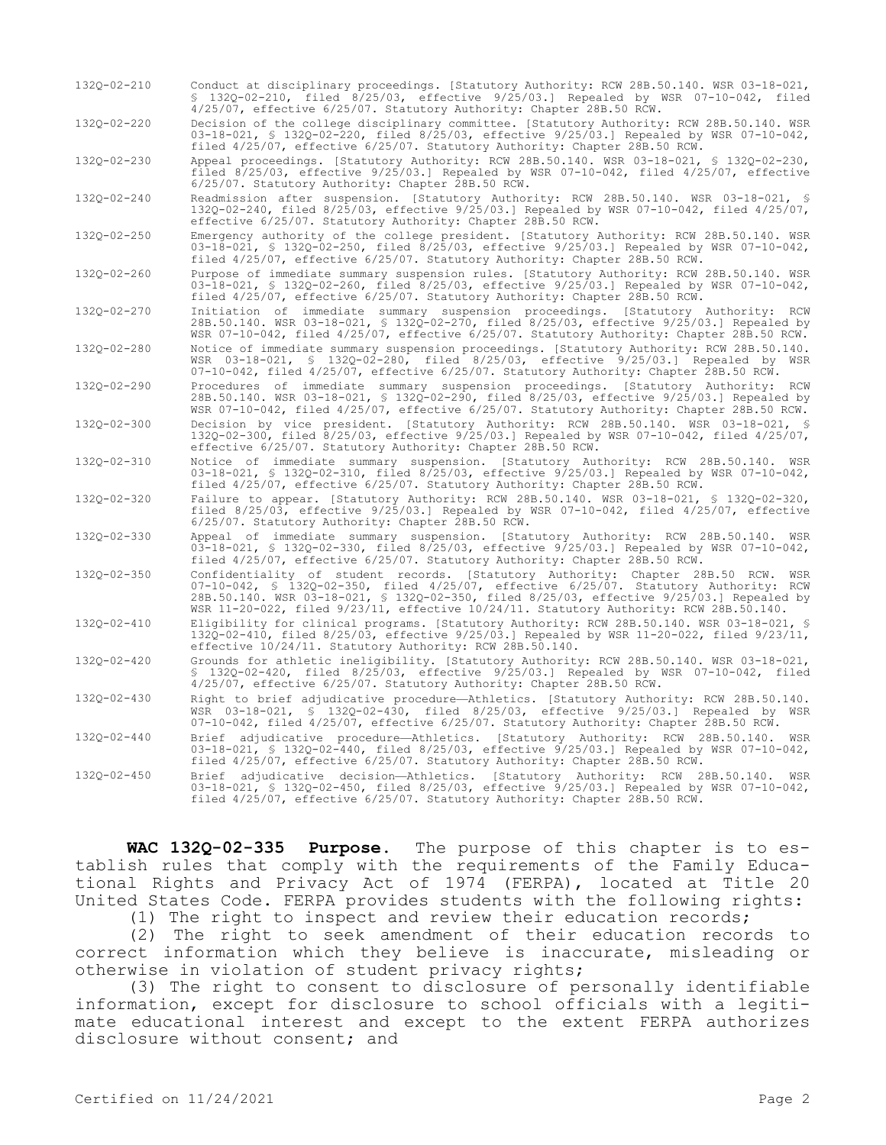132Q-02-210 Conduct at disciplinary proceedings. [Statutory Authority: RCW 28B.50.140. WSR 03-18-021, § 132Q-02-210, filed 8/25/03, effective 9/25/03.] Repealed by WSR 07-10-042, filed 4/25/07, effective 6/25/07. Statutory Authority: Chapter 28B.50 RCW.

132Q-02-220 Decision of the college disciplinary committee. [Statutory Authority: RCW 28B.50.140. WSR 03-18-021, § 132Q-02-220, filed 8/25/03, effective 9/25/03.] Repealed by WSR 07-10-042, filed 4/25/07, effective 6/25/07. Statutory Authority: Chapter 28B.50 RCW.

132Q-02-230 Appeal proceedings. [Statutory Authority: RCW 28B.50.140. WSR 03-18-021, § 132Q-02-230, filed 8/25/03, effective 9/25/03.] Repealed by WSR 07-10-042, filed 4/25/07, effective 6/25/07. Statutory Authority: Chapter 28B.50 RCW.

132Q-02-240 Readmission after suspension. [Statutory Authority: RCW 28B.50.140. WSR 03-18-021, § 132Q-02-240, filed 8/25/03, effective 9/25/03.] Repealed by WSR 07-10-042, filed 4/25/07, effective 6/25/07. Statutory Authority: Chapter 28B.50 RCW.

132Q-02-250 Emergency authority of the college president. [Statutory Authority: RCW 28B.50.140. WSR 03-18-021, § 132Q-02-250, filed 8/25/03, effective 9/25/03.] Repealed by WSR 07-10-042, filed 4/25/07, effective 6/25/07. Statutory Authority: Chapter 28B.50 RCW.

132Q-02-260 Purpose of immediate summary suspension rules. [Statutory Authority: RCW 28B.50.140. WSR 03-18-021, § 132Q-02-260, filed 8/25/03, effective 9/25/03.] Repealed by WSR 07-10-042, filed 4/25/07, effective 6/25/07. Statutory Authority: Chapter 28B.50 RCW.

132Q-02-270 Initiation of immediate summary suspension proceedings. [Statutory Authority: RCW 28B.50.140. WSR 03-18-021, § 132Q-02-270, filed 8/25/03, effective 9/25/03.] Repealed by WSR 07-10-042, filed 4/25/07, effective 6/25/07. Statutory Authority: Chapter 28B.50 RCW.

132Q-02-280 Notice of immediate summary suspension proceedings. [Statutory Authority: RCW 28B.50.140. WSR 03-18-021, § 132Q-02-280, filed 8/25/03, effective 9/25/03.] Repealed by WSR 07-10-042, filed 4/25/07, effective 6/25/07. Statutory Authority: Chapter 28B.50 RCW.

132Q-02-290 Procedures of immediate summary suspension proceedings. [Statutory Authority: RCW 28B.50.140. WSR 03-18-021, § 132Q-02-290, filed 8/25/03, effective 9/25/03.] Repealed by WSR 07-10-042, filed 4/25/07, effective 6/25/07. Statutory Authority: Chapter 28B.50 RCW. 132Q-02-300 Decision by vice president. [Statutory Authority: RCW 28B.50.140. WSR 03-18-021, §

132Q-02-300, filed 8/25/03, effective 9/25/03.] Repealed by WSR 07-10-042, filed 4/25/07, effective 6/25/07. Statutory Authority: Chapter 28B.50 RCW.

- 132Q-02-310 Notice of immediate summary suspension. [Statutory Authority: RCW 28B.50.140. WSR 03-18-021, § 132Q-02-310, filed 8/25/03, effective 9/25/03.] Repealed by WSR 07-10-042, filed 4/25/07, effective 6/25/07. Statutory Authority: Chapter 28B.50 RCW.
- 132Q-02-320 Failure to appear. [Statutory Authority: RCW 28B.50.140. WSR 03-18-021, § 132Q-02-320, filed 8/25/03, effective 9/25/03.] Repealed by WSR 07-10-042, filed 4/25/07, effective 6/25/07. Statutory Authority: Chapter 28B.50 RCW.

132Q-02-330 Appeal of immediate summary suspension. [Statutory Authority: RCW 28B.50.140. WSR 03-18-021, § 132Q-02-330, filed 8/25/03, effective 9/25/03.] Repealed by WSR 07-10-042, filed 4/25/07, effective 6/25/07. Statutory Authority: Chapter 28B.50 RCW.

132Q-02-350 Confidentiality of student records. [Statutory Authority: Chapter 28B.50 RCW. WSR 07-10-042, § 132Q-02-350, filed 4/25/07, effective 6/25/07. Statutory Authority: RCW 28B.50.140. WSR 03-18-021, § 132Q-02-350, filed 8/25/03, effective 9/25/03.] Repealed by WSR 11-20-022, filed 9/23/11, effective 10/24/11. Statutory Authority: RCW 28B.50.140.

132Q-02-410 Eligibility for clinical programs. [Statutory Authority: RCW 28B.50.140. WSR 03-18-021, § 132Q-02-410, filed 8/25/03, effective 9/25/03.] Repealed by WSR 11-20-022, filed 9/23/11, effective 10/24/11. Statutory Authority: RCW 28B.50.140.

132Q-02-420 Grounds for athletic ineligibility. [Statutory Authority: RCW 28B.50.140. WSR 03-18-021, § 132Q-02-420, filed 8/25/03, effective 9/25/03.] Repealed by WSR 07-10-042, filed 4/25/07, effective 6/25/07. Statutory Authority: Chapter 28B.50 RCW.

132Q-02-430 Right to brief adjudicative procedure—Athletics. [Statutory Authority: RCW 28B.50.140. WSR 03-18-021, § 132Q-02-430, filed 8/25/03, effective 9/25/03.] Repealed by WSR 07-10-042, filed 4/25/07, effective 6/25/07. Statutory Authority: Chapter 28B.50 RCW.

132Q-02-440 Brief adjudicative procedure—Athletics. [Statutory Authority: RCW 28B.50.140. WSR 03-18-021, § 132Q-02-440, filed 8/25/03, effective 9/25/03.] Repealed by WSR 07-10-042, filed 4/25/07, effective 6/25/07. Statutory Authority: Chapter 28B.50 RCW.

132Q-02-450 Brief adjudicative decision—Athletics. [Statutory Authority: RCW 28B.50.140. WSR 03-18-021, § 132Q-02-450, filed 8/25/03, effective 9/25/03.] Repealed by WSR 07-10-042, filed 4/25/07, effective 6/25/07. Statutory Authority: Chapter 28B.50 RCW.

**WAC 132Q-02-335 Purpose.** The purpose of this chapter is to establish rules that comply with the requirements of the Family Educational Rights and Privacy Act of 1974 (FERPA), located at Title 20 United States Code. FERPA provides students with the following rights:

(1) The right to inspect and review their education records;

(2) The right to seek amendment of their education records to correct information which they believe is inaccurate, misleading or otherwise in violation of student privacy rights;

(3) The right to consent to disclosure of personally identifiable information, except for disclosure to school officials with a legitimate educational interest and except to the extent FERPA authorizes disclosure without consent; and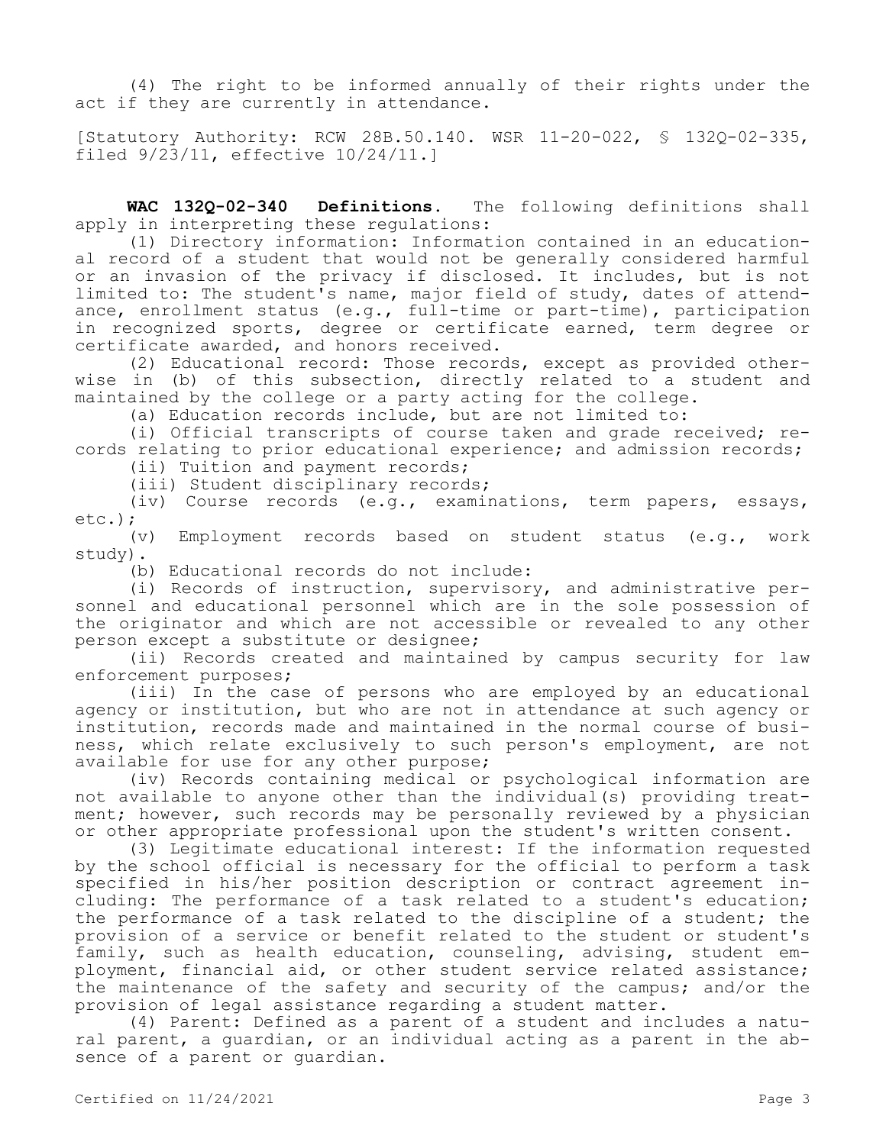(4) The right to be informed annually of their rights under the act if they are currently in attendance.

[Statutory Authority: RCW 28B.50.140. WSR 11-20-022, § 132Q-02-335, filed 9/23/11, effective 10/24/11.]

**WAC 132Q-02-340 Definitions.** The following definitions shall apply in interpreting these regulations:

(1) Directory information: Information contained in an educational record of a student that would not be generally considered harmful or an invasion of the privacy if disclosed. It includes, but is not limited to: The student's name, major field of study, dates of attendance, enrollment status (e.g., full-time or part-time), participation in recognized sports, degree or certificate earned, term degree or certificate awarded, and honors received.

(2) Educational record: Those records, except as provided otherwise in (b) of this subsection, directly related to a student and maintained by the college or a party acting for the college.

(a) Education records include, but are not limited to:

(i) Official transcripts of course taken and grade received; records relating to prior educational experience; and admission records;

(ii) Tuition and payment records;

(iii) Student disciplinary records;

(iv) Course records (e.g., examinations, term papers, essays, etc.);

(v) Employment records based on student status (e.g., work study).

(b) Educational records do not include:

(i) Records of instruction, supervisory, and administrative personnel and educational personnel which are in the sole possession of the originator and which are not accessible or revealed to any other person except a substitute or designee;

(ii) Records created and maintained by campus security for law enforcement purposes;

(iii) In the case of persons who are employed by an educational agency or institution, but who are not in attendance at such agency or institution, records made and maintained in the normal course of business, which relate exclusively to such person's employment, are not available for use for any other purpose;

(iv) Records containing medical or psychological information are not available to anyone other than the individual(s) providing treatment; however, such records may be personally reviewed by a physician or other appropriate professional upon the student's written consent.

(3) Legitimate educational interest: If the information requested by the school official is necessary for the official to perform a task specified in his/her position description or contract agreement including: The performance of a task related to a student's education; the performance of a task related to the discipline of a student; the provision of a service or benefit related to the student or student's family, such as health education, counseling, advising, student employment, financial aid, or other student service related assistance; the maintenance of the safety and security of the campus; and/or the provision of legal assistance regarding a student matter.

(4) Parent: Defined as a parent of a student and includes a natural parent, a guardian, or an individual acting as a parent in the absence of a parent or guardian.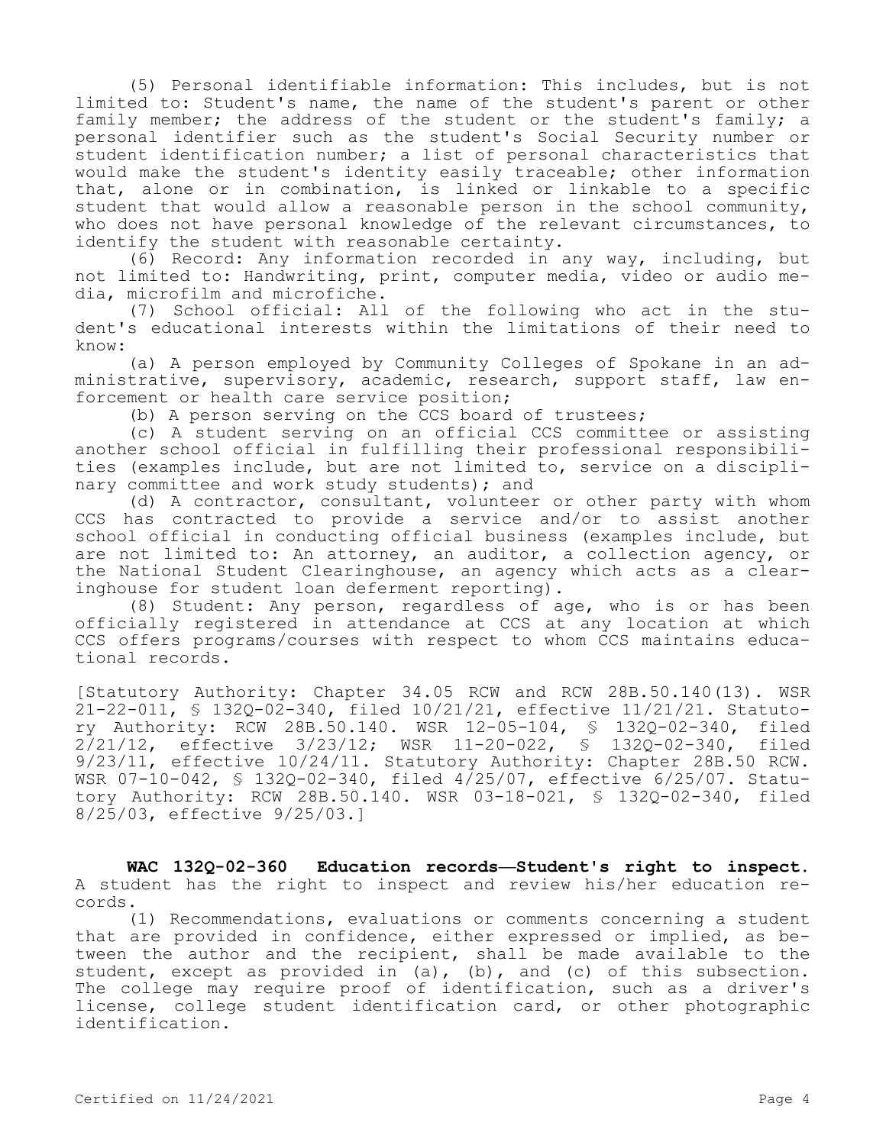(5) Personal identifiable information: This includes, but is not limited to: Student's name, the name of the student's parent or other family member; the address of the student or the student's family; a personal identifier such as the student's Social Security number or student identification number; a list of personal characteristics that would make the student's identity easily traceable; other information that, alone or in combination, is linked or linkable to a specific student that would allow a reasonable person in the school community, who does not have personal knowledge of the relevant circumstances, to identify the student with reasonable certainty.

(6) Record: Any information recorded in any way, including, but not limited to: Handwriting, print, computer media, video or audio media, microfilm and microfiche.

(7) School official: All of the following who act in the student's educational interests within the limitations of their need to know:

(a) A person employed by Community Colleges of Spokane in an administrative, supervisory, academic, research, support staff, law enforcement or health care service position;

(b) A person serving on the CCS board of trustees;

(c) A student serving on an official CCS committee or assisting another school official in fulfilling their professional responsibilities (examples include, but are not limited to, service on a disciplinary committee and work study students); and

(d) A contractor, consultant, volunteer or other party with whom CCS has contracted to provide a service and/or to assist another school official in conducting official business (examples include, but are not limited to: An attorney, an auditor, a collection agency, or the National Student Clearinghouse, an agency which acts as a clearinghouse for student loan deferment reporting).

(8) Student: Any person, regardless of age, who is or has been officially registered in attendance at CCS at any location at which CCS offers programs/courses with respect to whom CCS maintains educational records.

[Statutory Authority: Chapter 34.05 RCW and RCW 28B.50.140(13). WSR 21-22-011, § 132Q-02-340, filed 10/21/21, effective 11/21/21. Statutory Authority: RCW 28B.50.140. WSR 12-05-104, § 132Q-02-340, filed 2/21/12, effective 3/23/12; WSR 11-20-022, § 132Q-02-340, filed 9/23/11, effective 10/24/11. Statutory Authority: Chapter 28B.50 RCW. WSR 07-10-042, § 132Q-02-340, filed 4/25/07, effective 6/25/07. Statutory Authority: RCW 28B.50.140. WSR 03-18-021, § 132Q-02-340, filed 8/25/03, effective 9/25/03.]

**WAC 132Q-02-360 Education records—Student's right to inspect.**  A student has the right to inspect and review his/her education records.

(1) Recommendations, evaluations or comments concerning a student that are provided in confidence, either expressed or implied, as between the author and the recipient, shall be made available to the student, except as provided in (a), (b), and (c) of this subsection. The college may require proof of identification, such as a driver's license, college student identification card, or other photographic identification.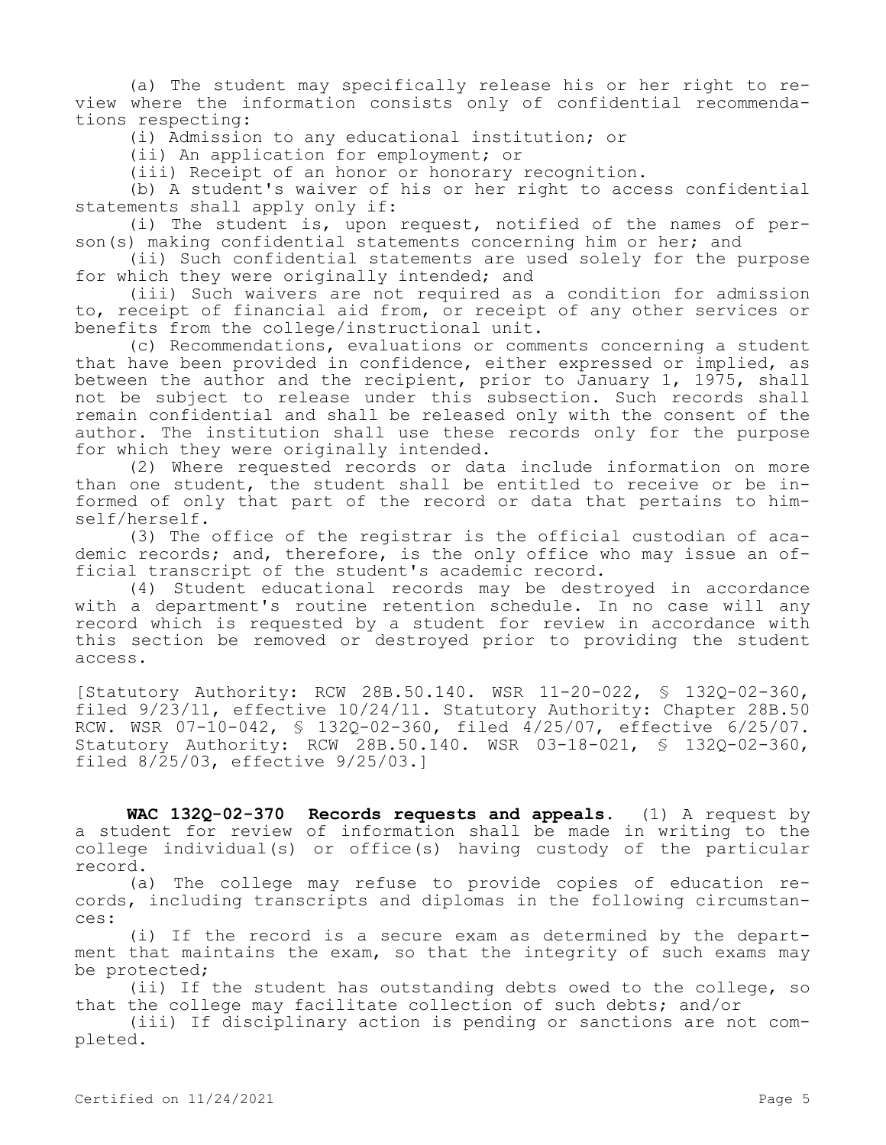(a) The student may specifically release his or her right to review where the information consists only of confidential recommendations respecting:

(i) Admission to any educational institution; or

(ii) An application for employment; or

(iii) Receipt of an honor or honorary recognition.

(b) A student's waiver of his or her right to access confidential statements shall apply only if:

(i) The student is, upon request, notified of the names of person(s) making confidential statements concerning him or her; and

(ii) Such confidential statements are used solely for the purpose for which they were originally intended; and

(iii) Such waivers are not required as a condition for admission to, receipt of financial aid from, or receipt of any other services or benefits from the college/instructional unit.

(c) Recommendations, evaluations or comments concerning a student that have been provided in confidence, either expressed or implied, as between the author and the recipient, prior to January 1, 1975, shall not be subject to release under this subsection. Such records shall remain confidential and shall be released only with the consent of the author. The institution shall use these records only for the purpose for which they were originally intended.

(2) Where requested records or data include information on more than one student, the student shall be entitled to receive or be informed of only that part of the record or data that pertains to himself/herself.

(3) The office of the registrar is the official custodian of academic records; and, therefore, is the only office who may issue an official transcript of the student's academic record.

(4) Student educational records may be destroyed in accordance with a department's routine retention schedule. In no case will any record which is requested by a student for review in accordance with this section be removed or destroyed prior to providing the student access.

[Statutory Authority: RCW 28B.50.140. WSR 11-20-022, § 132Q-02-360, filed 9/23/11, effective 10/24/11. Statutory Authority: Chapter 28B.50 RCW. WSR 07-10-042, § 132Q-02-360, filed 4/25/07, effective 6/25/07. Statutory Authority: RCW 28B.50.140. WSR 03-18-021, § 132Q-02-360, filed 8/25/03, effective 9/25/03.]

**WAC 132Q-02-370 Records requests and appeals.** (1) A request by a student for review of information shall be made in writing to the college individual(s) or office(s) having custody of the particular record.

(a) The college may refuse to provide copies of education records, including transcripts and diplomas in the following circumstances:

(i) If the record is a secure exam as determined by the department that maintains the exam, so that the integrity of such exams may be protected;

(ii) If the student has outstanding debts owed to the college, so that the college may facilitate collection of such debts; and/or

(iii) If disciplinary action is pending or sanctions are not completed.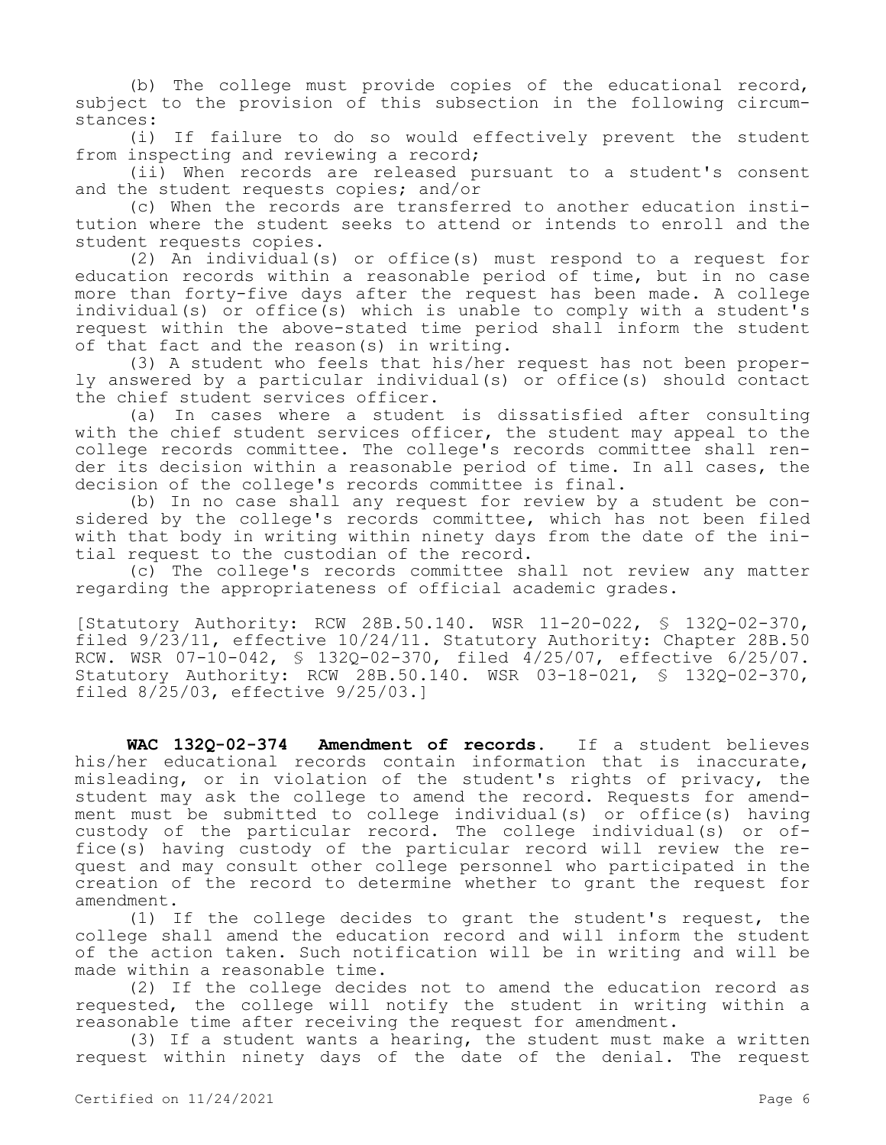(b) The college must provide copies of the educational record, subject to the provision of this subsection in the following circumstances:

(i) If failure to do so would effectively prevent the student from inspecting and reviewing a record;

(ii) When records are released pursuant to a student's consent and the student requests copies; and/or

(c) When the records are transferred to another education institution where the student seeks to attend or intends to enroll and the student requests copies.

(2) An individual(s) or office(s) must respond to a request for education records within a reasonable period of time, but in no case more than forty-five days after the request has been made. A college individual(s) or office(s) which is unable to comply with a student's request within the above-stated time period shall inform the student of that fact and the reason(s) in writing.

(3) A student who feels that his/her request has not been properly answered by a particular individual(s) or office(s) should contact the chief student services officer.

(a) In cases where a student is dissatisfied after consulting with the chief student services officer, the student may appeal to the college records committee. The college's records committee shall render its decision within a reasonable period of time. In all cases, the decision of the college's records committee is final.

(b) In no case shall any request for review by a student be considered by the college's records committee, which has not been filed with that body in writing within ninety days from the date of the initial request to the custodian of the record.

(c) The college's records committee shall not review any matter regarding the appropriateness of official academic grades.

[Statutory Authority: RCW 28B.50.140. WSR 11-20-022, § 132Q-02-370, filed 9/23/11, effective 10/24/11. Statutory Authority: Chapter 28B.50 RCW. WSR 07-10-042, § 132Q-02-370, filed 4/25/07, effective 6/25/07. Statutory Authority: RCW 28B.50.140. WSR 03-18-021, § 132Q-02-370, filed 8/25/03, effective 9/25/03.]

**WAC 132Q-02-374 Amendment of records.** If a student believes his/her educational records contain information that is inaccurate, misleading, or in violation of the student's rights of privacy, the student may ask the college to amend the record. Requests for amendment must be submitted to college individual(s) or office(s) having custody of the particular record. The college individual(s) or office(s) having custody of the particular record will review the request and may consult other college personnel who participated in the creation of the record to determine whether to grant the request for amendment.

(1) If the college decides to grant the student's request, the college shall amend the education record and will inform the student of the action taken. Such notification will be in writing and will be made within a reasonable time.

(2) If the college decides not to amend the education record as requested, the college will notify the student in writing within a reasonable time after receiving the request for amendment.

(3) If a student wants a hearing, the student must make a written request within ninety days of the date of the denial. The request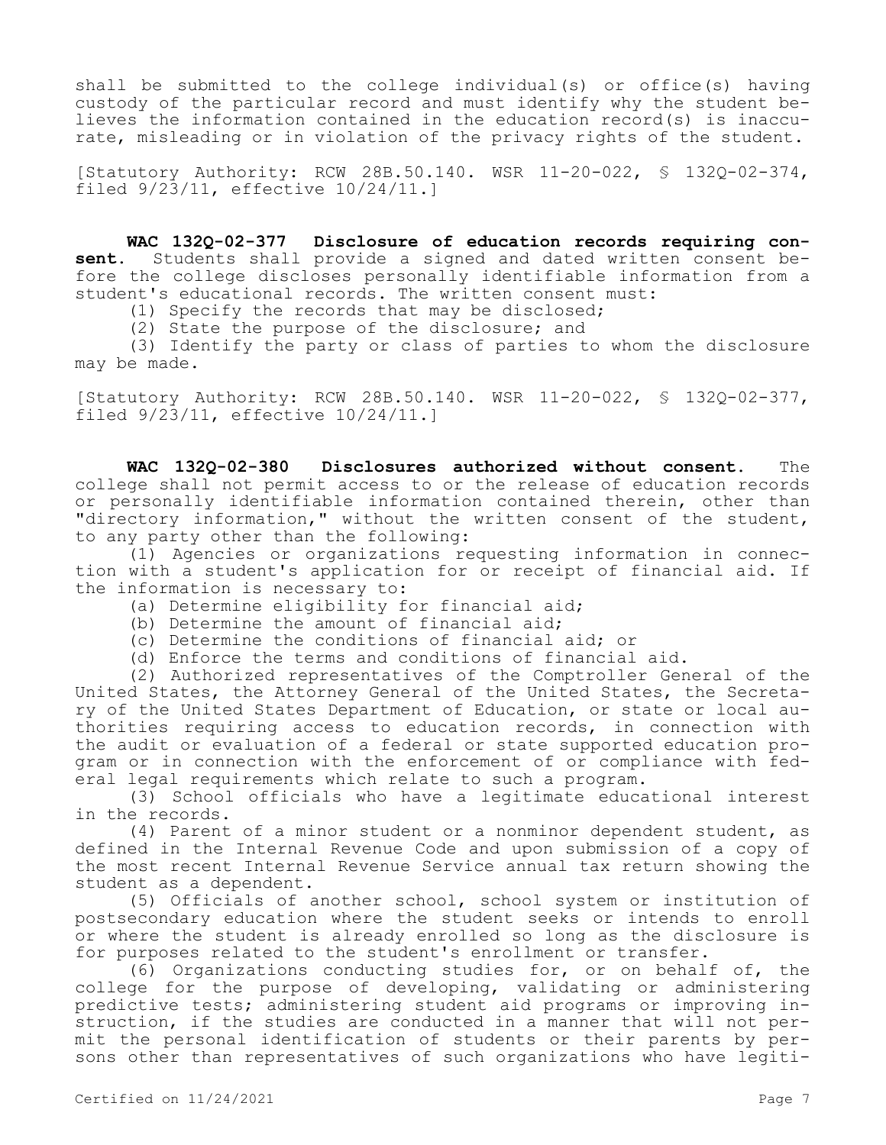shall be submitted to the college individual(s) or office(s) having custody of the particular record and must identify why the student believes the information contained in the education record(s) is inaccurate, misleading or in violation of the privacy rights of the student.

[Statutory Authority: RCW 28B.50.140. WSR 11-20-022, § 132Q-02-374, filed 9/23/11, effective 10/24/11.]

**WAC 132Q-02-377 Disclosure of education records requiring con-<br>
<b>sent.** Students shall provide a signed and dated written consent be-Students shall provide a signed and dated written consent before the college discloses personally identifiable information from a student's educational records. The written consent must:

(1) Specify the records that may be disclosed;

(2) State the purpose of the disclosure; and

(3) Identify the party or class of parties to whom the disclosure may be made.

[Statutory Authority: RCW 28B.50.140. WSR 11-20-022, § 132Q-02-377, filed 9/23/11, effective 10/24/11.]

**WAC 132Q-02-380 Disclosures authorized without consent.** The college shall not permit access to or the release of education records or personally identifiable information contained therein, other than "directory information," without the written consent of the student, to any party other than the following:

(1) Agencies or organizations requesting information in connection with a student's application for or receipt of financial aid. If the information is necessary to:

- (a) Determine eligibility for financial aid;
- (b) Determine the amount of financial aid;
- (c) Determine the conditions of financial aid; or
- (d) Enforce the terms and conditions of financial aid.

(2) Authorized representatives of the Comptroller General of the United States, the Attorney General of the United States, the Secretary of the United States Department of Education, or state or local authorities requiring access to education records, in connection with the audit or evaluation of a federal or state supported education program or in connection with the enforcement of or compliance with federal legal requirements which relate to such a program.

(3) School officials who have a legitimate educational interest in the records.

(4) Parent of a minor student or a nonminor dependent student, as defined in the Internal Revenue Code and upon submission of a copy of the most recent Internal Revenue Service annual tax return showing the student as a dependent.

(5) Officials of another school, school system or institution of postsecondary education where the student seeks or intends to enroll or where the student is already enrolled so long as the disclosure is for purposes related to the student's enrollment or transfer.

(6) Organizations conducting studies for, or on behalf of, the college for the purpose of developing, validating or administering predictive tests; administering student aid programs or improving instruction, if the studies are conducted in a manner that will not permit the personal identification of students or their parents by persons other than representatives of such organizations who have legiti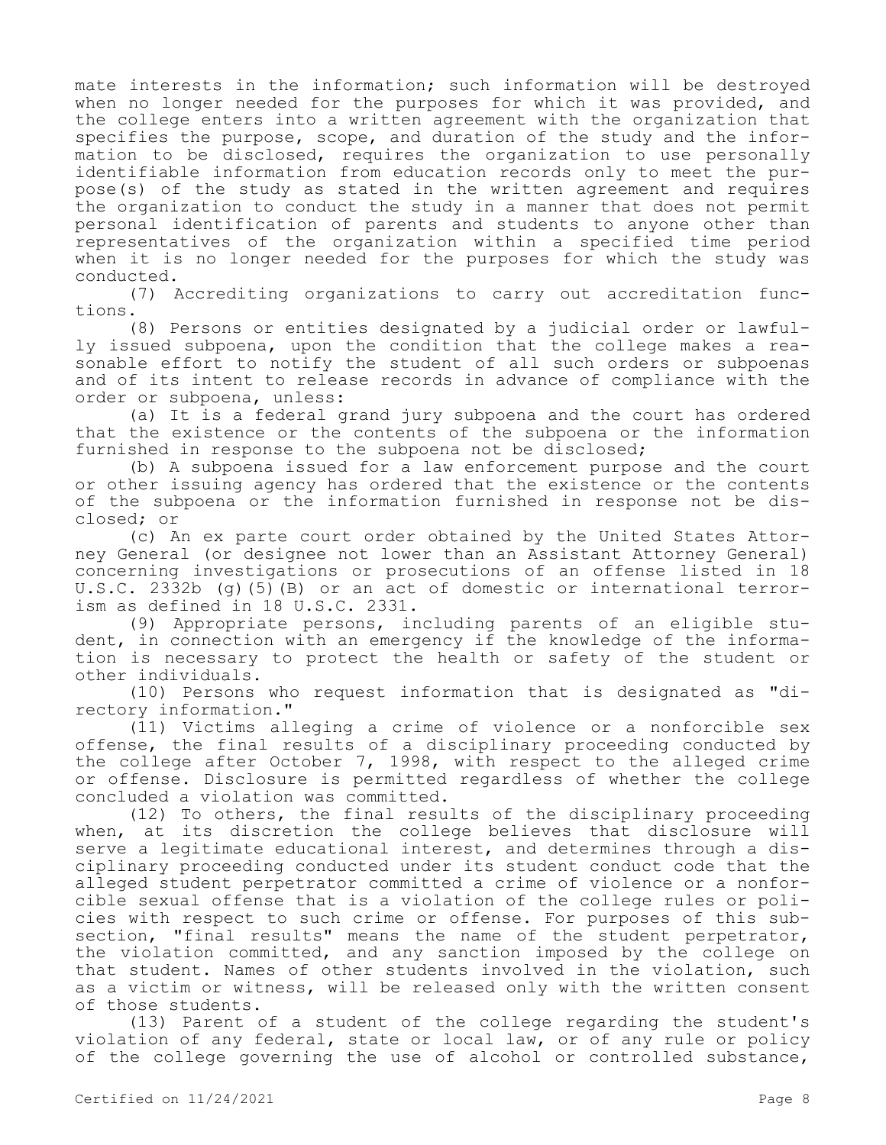mate interests in the information; such information will be destroyed when no longer needed for the purposes for which it was provided, and the college enters into a written agreement with the organization that specifies the purpose, scope, and duration of the study and the information to be disclosed, requires the organization to use personally identifiable information from education records only to meet the purpose(s) of the study as stated in the written agreement and requires the organization to conduct the study in a manner that does not permit personal identification of parents and students to anyone other than representatives of the organization within a specified time period when it is no longer needed for the purposes for which the study was conducted.

(7) Accrediting organizations to carry out accreditation functions.

(8) Persons or entities designated by a judicial order or lawfully issued subpoena, upon the condition that the college makes a reasonable effort to notify the student of all such orders or subpoenas and of its intent to release records in advance of compliance with the order or subpoena, unless:

(a) It is a federal grand jury subpoena and the court has ordered that the existence or the contents of the subpoena or the information furnished in response to the subpoena not be disclosed;

(b) A subpoena issued for a law enforcement purpose and the court or other issuing agency has ordered that the existence or the contents of the subpoena or the information furnished in response not be disclosed; or

(c) An ex parte court order obtained by the United States Attorney General (or designee not lower than an Assistant Attorney General) concerning investigations or prosecutions of an offense listed in 18 U.S.C. 2332b (g)(5)(B) or an act of domestic or international terrorism as defined in 18 U.S.C. 2331.

(9) Appropriate persons, including parents of an eligible student, in connection with an emergency if the knowledge of the information is necessary to protect the health or safety of the student or other individuals.

(10) Persons who request information that is designated as "directory information."

(11) Victims alleging a crime of violence or a nonforcible sex offense, the final results of a disciplinary proceeding conducted by the college after October 7, 1998, with respect to the alleged crime or offense. Disclosure is permitted regardless of whether the college concluded a violation was committed.

(12) To others, the final results of the disciplinary proceeding when, at its discretion the college believes that disclosure will serve a legitimate educational interest, and determines through a disciplinary proceeding conducted under its student conduct code that the alleged student perpetrator committed a crime of violence or a nonforcible sexual offense that is a violation of the college rules or policies with respect to such crime or offense. For purposes of this subsection, "final results" means the name of the student perpetrator, the violation committed, and any sanction imposed by the college on that student. Names of other students involved in the violation, such as a victim or witness, will be released only with the written consent of those students.

(13) Parent of a student of the college regarding the student's violation of any federal, state or local law, or of any rule or policy of the college governing the use of alcohol or controlled substance,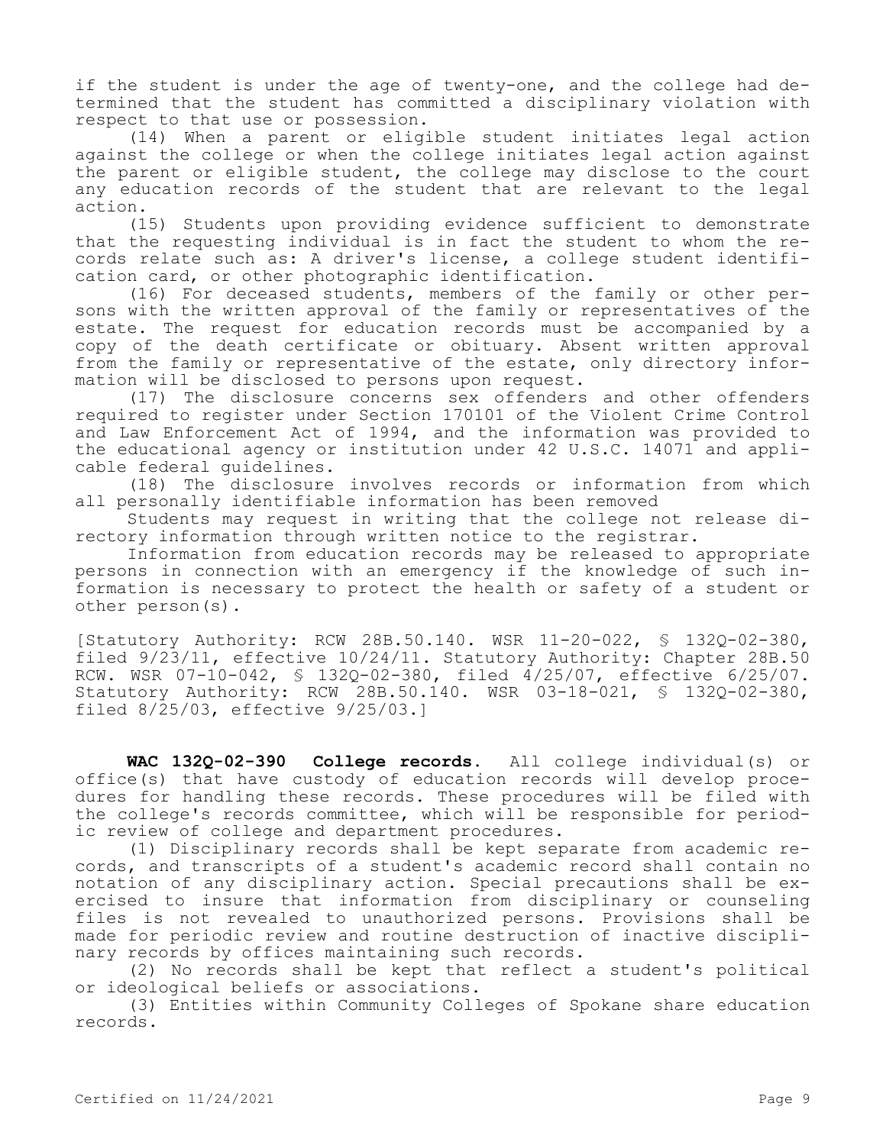if the student is under the age of twenty-one, and the college had determined that the student has committed a disciplinary violation with respect to that use or possession.

(14) When a parent or eligible student initiates legal action against the college or when the college initiates legal action against the parent or eligible student, the college may disclose to the court any education records of the student that are relevant to the legal action.

(15) Students upon providing evidence sufficient to demonstrate that the requesting individual is in fact the student to whom the records relate such as: A driver's license, a college student identification card, or other photographic identification.

(16) For deceased students, members of the family or other persons with the written approval of the family or representatives of the estate. The request for education records must be accompanied by a copy of the death certificate or obituary. Absent written approval from the family or representative of the estate, only directory information will be disclosed to persons upon request.

(17) The disclosure concerns sex offenders and other offenders required to register under Section 170101 of the Violent Crime Control and Law Enforcement Act of 1994, and the information was provided to the educational agency or institution under 42 U.S.C. 14071 and applicable federal guidelines.

(18) The disclosure involves records or information from which all personally identifiable information has been removed

Students may request in writing that the college not release directory information through written notice to the registrar.

Information from education records may be released to appropriate persons in connection with an emergency if the knowledge of such information is necessary to protect the health or safety of a student or other person(s).

[Statutory Authority: RCW 28B.50.140. WSR 11-20-022, § 132Q-02-380, filed 9/23/11, effective 10/24/11. Statutory Authority: Chapter 28B.50 RCW. WSR 07-10-042, § 132Q-02-380, filed 4/25/07, effective 6/25/07. Statutory Authority: RCW 28B.50.140. WSR 03-18-021, § 132Q-02-380, filed 8/25/03, effective 9/25/03.]

**WAC 132Q-02-390 College records.** All college individual(s) or office(s) that have custody of education records will develop procedures for handling these records. These procedures will be filed with the college's records committee, which will be responsible for periodic review of college and department procedures.

(1) Disciplinary records shall be kept separate from academic records, and transcripts of a student's academic record shall contain no notation of any disciplinary action. Special precautions shall be exercised to insure that information from disciplinary or counseling files is not revealed to unauthorized persons. Provisions shall be made for periodic review and routine destruction of inactive disciplinary records by offices maintaining such records.

(2) No records shall be kept that reflect a student's political or ideological beliefs or associations.

(3) Entities within Community Colleges of Spokane share education records.